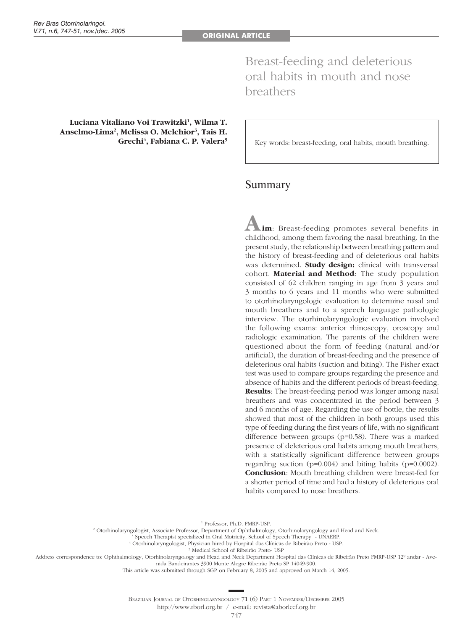Breast-feeding and deleterious oral habits in mouth and nose breathers

Luciana Vitaliano Voi Trawitzki<sup>1</sup>, Wilma T. **Anselmo-Lima2 , Melissa O. Melchior3 , Tais H. Grechi4 , Fabiana C. P. Valera5**

Key words: breast-feeding, oral habits, mouth breathing.

# Summary

**Aim**: Breast-feeding promotes several benefits in childhood, among them favoring the nasal breathing. In the present study, the relationship between breathing pattern and the history of breast-feeding and of deleterious oral habits was determined. **Study design:** clinical with transversal cohort. **Material and Method**: The study population consisted of 62 children ranging in age from 3 years and 3 months to 6 years and 11 months who were submitted to otorhinolaryngologic evaluation to determine nasal and mouth breathers and to a speech language pathologic interview. The otorhinolaryngologic evaluation involved the following exams: anterior rhinoscopy, oroscopy and radiologic examination. The parents of the children were questioned about the form of feeding (natural and/or artificial), the duration of breast-feeding and the presence of deleterious oral habits (suction and biting). The Fisher exact test was used to compare groups regarding the presence and absence of habits and the different periods of breast-feeding. **Results**: The breast-feeding period was longer among nasal breathers and was concentrated in the period between 3 and 6 months of age. Regarding the use of bottle, the results showed that most of the children in both groups used this type of feeding during the first years of life, with no significant difference between groups (p=0.58). There was a marked presence of deleterious oral habits among mouth breathers, with a statistically significant difference between groups regarding suction (p=0.004) and biting habits (p=0.0002). **Conclusion**: Mouth breathing children were breast-fed for a shorter period of time and had a history of deleterious oral habits compared to nose breathers.

1 Professor, Ph.D. FMRP-USP.

<sup>2</sup> Otorhinolaryngologist, Associate Professor, Department of Ophthalmology, Otorhinolaryngology and Head and Neck.<br><sup>3</sup> Speech Therapist specialized in Oral Motricity, School of Speech Therapy, - UNAERP

<sup>3</sup> Speech Therapist specialized in Oral Motricity, School of Speech Therapy - UNAERP.

4 Otorhinolaryngologist, Physician hired by Hospital das Clínicas de Ribeirão Preto - USP.

5 Medical School of Ribeirão Preto- USP

Address correspondence to: Ophthalmology, Otorhinolaryngology and Head and Neck Department Hospital das Clínicas de Ribeirão Preto FMRP-USP 12º andar - Avenida Bandeirantes 3900 Monte Alegre Ribeirão Preto SP 14049-900.

This article was submitted through SGP on February 8, 2005 and approved on March 14, 2005.

http://www.rborl.org.br / e-mail: revista@aborlccf.org.br

747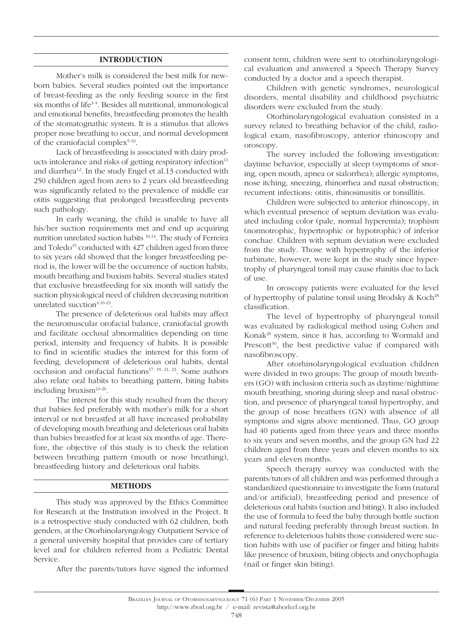# **INTRODUCTION**

Mother's milk is considered the best milk for newborn babies. Several studies pointed out the importance of breast-feeding as the only feeding source in the first six months of life<sup>1-4</sup>. Besides all nutritional, immunological and emotional benefits, breastfeeding promotes the health of the stomatognathic system. It is a stimulus that allows proper nose breathing to occur, and normal development of the craniofacial complex<sup>5-10</sup>.

Lack of breastfeeding is associated with dairy products intolerance and risks of getting respiratory infection $11$ and diarrhea<sup>12</sup>. In the study Engel et al.13 conducted with 250 children aged from zero to 2 years old breastfeeding was significantly related to the prevalence of middle ear otitis suggesting that prolonged breastfeeding prevents such pathology.

In early weaning, the child is unable to have all his/her suction requirements met and end up acquiring nutrition unrelated suction habits 10,14. The study of Ferreira and Toledo<sup>15</sup> conducted with 427 children aged from three to six years old showed that the longer breastfeeding period is, the lower will be the occurrence of suction habits, mouth breathing and buxism habits. Several studies stated that exclusive breastfeeding for six month will satisfy the suction physiological need of children decreasing nutrition unrelated sucction<sup>4,16-23</sup>.

The presence of deleterious oral habits may affect the neuromuscular orofacial balance, craniofacial growth and facilitate occlusal abnormalities depending on time period, intensity and frequency of habits. It is possible to find in scientific studies the interest for this form of feeding, development of deleterious oral habits, dental occlusion and orofacial functions17, 19, 21, 23. Some authors also relate oral habits to breathing pattern, biting habits including bruxism<sup>24-26</sup>.

The interest for this study resulted from the theory that babies fed preferably with mother's milk for a short interval or not breastfed at all have increased probability of developing mouth breathing and deleterious oral habits than babies breastfed for at least six months of age. Therefore, the objective of this study is to check the relation between breathing pattern (mouth or nose breathing), breastfeeding history and deleterious oral habits.

### **METHODS**

This study was approved by the Ethics Committee for Research at the Institution involved in the Project. It is a retrospective study conducted with 62 children, both genders, at the Otorhinolaryngology Outpatient Service of a general university hospital that provides care of tertiary level and for children referred from a Pediatric Dental Service.

After the parents/tutors have signed the informed

consent term, children were sent to otorhinolaryngological evaluation and answered a Speech Therapy Survey conducted by a doctor and a speech therapist.

Children with genetic syndromes, neurological disorders, mental disability and childhood psychiatric disorders were excluded from the study.

Otorhinolaryngological evaluation consisted in a survey related to breathing behavior of the child, radiological exam, nasofibroscopy, anterior rhinoscopy and oroscopy.

The survey included the following investigation: daytime behavior, especially at sleep (symptoms of snoring, open mouth, apnea or sialorrhea); allergic symptoms, nose itching, sneezing, rhinorrhea and nasal obstruction; recurrent infections: otitis, rhinosinusitis or tonsillitis.

Children were subjected to anterior rhinoscopy, in which eventual presence of septum deviation was evaluated including color (pale, normal hyperemia); trophism (normotrophic, hypertrophic or hypotrophic) of inferior conchae. Children with septum deviation were excluded from the study. Those with hypertrophy of the inferior turbinate, however, were kept in the study since hypertrophy of pharyngeal tonsil may cause rhinitis due to lack of use.

In oroscopy patients were evaluated for the level of hypertrophy of palatine tonsil using Brodsky & Koch<sup>28</sup> classification.

The level of hypertrophy of pharyngeal tonsil was evaluated by radiological method using Cohen and Konak29 system, since it has, according to Wormald and Prescott<sup>30</sup>, the best predictive value if compared with nasofibroscopy.

After otorhinolaryngological evaluation children were divided in two groups: The group of mouth breathers (GO) with inclusion criteria such as daytime/nighttime mouth breathing, snoring during sleep and nasal obstruction, and presence of pharyngeal tonsil hypertrophy, and the group of nose breathers (GN) with absence of all symptoms and signs above mentioned. Thus, GO group had 40 patients aged from three years and three months to six years and seven months, and the group GN had 22 children aged from three years and eleven months to six years and eleven months.

Speech therapy survey was conducted with the parents/tutors of all children and was performed through a standardized questionnaire to investigate the form (natural and/or artificial), breastfeeding period and presence of deleterious oral habits (suction and biting). It also included the use of formula to feed the baby through bottle suction and natural feeding preferably through breast suction. In reference to deleterious habits those considered were suction habits with use of pacifier or finger and biting habits like presence of bruxism, biting objects and onychophagia (nail or finger skin biting).

BRAZILIAN JOURNAL OF OTORHINOLARYNGOLOGY 71 (6) PART 1 NOVEMBER/DECEMBER 2005

http://www.rborl.org.br / e-mail: revista@aborlccf.org.br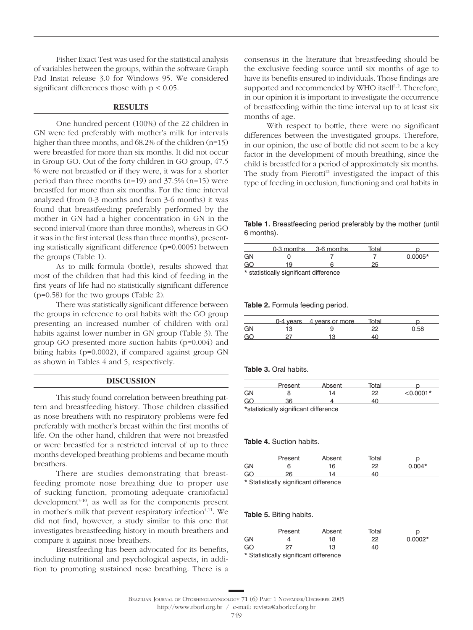Fisher Exact Test was used for the statistical analysis of variables between the groups, within the software Graph Pad Instat release 3.0 for Windows 95. We considered significant differences those with  $p < 0.05$ .

# **RESULTS**

One hundred percent (100%) of the 22 children in GN were fed preferably with mother's milk for intervals higher than three months, and 68.2% of the children (n=15) were breastfed for more than six months. It did not occur in Group GO. Out of the forty children in GO group, 47.5 % were not breastfed or if they were, it was for a shorter period than three months (n=19) and 37.5% (n=15) were breastfed for more than six months. For the time interval analyzed (from 0-3 months and from 3-6 months) it was found that breastfeeding preferably performed by the mother in GN had a higher concentration in GN in the second interval (more than three months), whereas in GO it was in the first interval (less than three months), presenting statistically significant difference (p=0.0005) between the groups (Table 1).

As to milk formula (bottle), results showed that most of the children that had this kind of feeding in the first years of life had no statistically significant difference (p=0.58) for the two groups (Table 2).

There was statistically significant difference between the groups in reference to oral habits with the GO group presenting an increased number of children with oral habits against lower number in GN group (Table 3). The group GO presented more suction habits (p=0.004) and biting habits (p=0.0002), if compared against group GN as shown in Tables 4 and 5, respectively.

# **DISCUSSION**

This study found correlation between breathing pattern and breastfeeding history. Those children classified as nose breathers with no respiratory problems were fed preferably with mother's breast within the first months of life. On the other hand, children that were not breastfed or were breastfed for a restricted interval of up to three months developed breathing problems and became mouth breathers.

There are studies demonstrating that breastfeeding promote nose breathing due to proper use of sucking function, promoting adequate craniofacial development<sup>5-10</sup>, as well as for the components present in mother's milk that prevent respiratory infection<sup>4,11</sup>. We did not find, however, a study similar to this one that investigates breastfeeding history in mouth breathers and compare it against nose breathers.

Breastfeeding has been advocated for its benefits, including nutritional and psychological aspects, in addition to promoting sustained nose breathing. There is a consensus in the literature that breastfeeding should be the exclusive feeding source until six months of age to have its benefits ensured to individuals. Those findings are supported and recommended by WHO itself<sup>1,2</sup>. Therefore, in our opinion it is important to investigate the occurrence of breastfeeding within the time interval up to at least six months of age.

With respect to bottle, there were no significant differences between the investigated groups. Therefore, in our opinion, the use of bottle did not seem to be a key factor in the development of mouth breathing, since the child is breastfed for a period of approximately six months. The study from Pierotti<sup>21</sup> investigated the impact of this type of feeding in occlusion, functioning and oral habits in

**Table 1.** Breastfeeding period preferably by the mother (until 6 months).

|    |                                        | 0-3 months 3-6 months | Total |           |
|----|----------------------------------------|-----------------------|-------|-----------|
| GΝ |                                        |                       |       | $0.0005*$ |
| GO | 1 Q                                    |                       | 25    |           |
|    | * statistically significant difference |                       |       |           |

**Table 2.** Formula feeding period.

|     |     | 0-4 years 4 years or more |    |      |
|-----|-----|---------------------------|----|------|
| GN  | 13. |                           | nr | า.58 |
| GC. |     |                           |    |      |

#### **Table 3.** Oral habits.

|    | Present | Absent | $\tau$ otal |             |
|----|---------|--------|-------------|-------------|
| GN |         | 14     | າາ          | $< 0.0001*$ |
| GO | วค      |        | 41          |             |
|    | .       |        |             |             |

\*statistically significant difference

#### **Table 4.** Suction habits.

|    | Present                                       | Absent | Total |          |
|----|-----------------------------------------------|--------|-------|----------|
| GN |                                               | 16     | ממ    | $0.004*$ |
| GO |                                               |        |       |          |
|    | A Chattatta allee atamitta anni aliffanana an |        |       |          |

Statistically significant difference

### **Table 5.** Biting habits.

|    | Present | Ahsent | Total |         |
|----|---------|--------|-------|---------|
| GN |         | 18     | ററ    | 0.0002* |
| GC |         | 12     |       |         |

\* Statistically significant difference

#### BRAZILIAN JOURNAL OF OTORHINOLARYNGOLOGY 71 (6) PART 1 NOVEMBER/DECEMBER 2005

http://www.rborl.org.br / e-mail: revista@aborlccf.org.br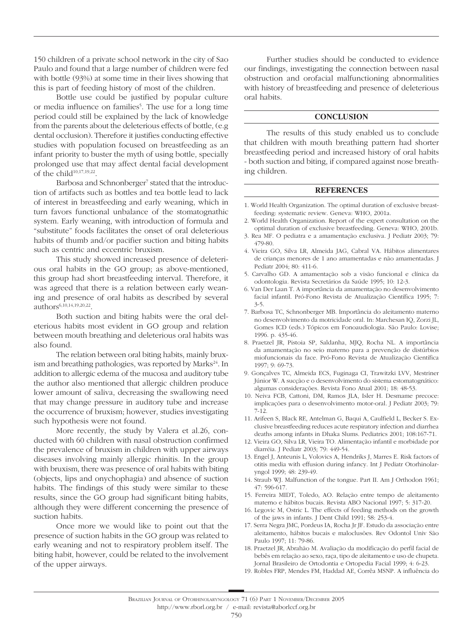150 children of a private school network in the city of Sao Paulo and found that a large number of children were fed with bottle (93%) at some time in their lives showing that this is part of feeding history of most of the children.

Bottle use could be justified by popular culture or media influence on families<sup>5</sup>. The use for a long time period could still be explained by the lack of knowledge from the parents about the deleterious effects of bottle, (e.g dental occlusion). Therefore it justifies conducting effective studies with population focused on breastfeeding as an infant priority to buster the myth of using bottle, specially prolonged use that may affect dental facial development of the child<sup>10,17,19,22</sup>.

Barbosa and Schnonberger<sup>7</sup> stated that the introduction of artifacts such as bottles and tea bottle lead to lack of interest in breastfeeding and early weaning, which in turn favors functional unbalance of the stomatognathic system. Early weaning, with introduction of formula and "substitute" foods facilitates the onset of oral deleterious habits of thumb and/or pacifier suction and biting habits such as centric and eccentric bruxism.

This study showed increased presence of deleterious oral habits in the GO group; as above-mentioned, this group had short breastfeeding interval. Therefore, it was agreed that there is a relation between early weaning and presence of oral habits as described by several authors<sup>6,10,14,19,20,22</sup>.

Both suction and biting habits were the oral deleterious habits most evident in GO group and relation between mouth breathing and deleterious oral habits was also found.

The relation between oral biting habits, mainly bruxism and breathing pathologies, was reported by Marks<sup>24</sup>. In addition to allergic edema of the mucosa and auditory tube the author also mentioned that allergic children produce lower amount of saliva, decreasing the swallowing need that may change pressure in auditory tube and increase the occurrence of bruxism; however, studies investigating such hypothesis were not found.

More recently, the study by Valera et al.26, conducted with 60 children with nasal obstruction confirmed the prevalence of bruxism in children with upper airways diseases involving mainly allergic rhinitis. In the group with bruxism, there was presence of oral habits with biting (objects, lips and onychophagia) and absence of suction habits. The findings of this study were similar to these results, since the GO group had significant biting habits, although they were different concerning the presence of suction habits.

Once more we would like to point out that the presence of suction habits in the GO group was related to early weaning and not to respiratory problem itself. The biting habit, however, could be related to the involvement of the upper airways.

Further studies should be conducted to evidence our findings, investigating the connection between nasal obstruction and orofacial malfunctioning abnormalities with history of breastfeeding and presence of deleterious oral habits.

### **CONCLUSION**

The results of this study enabled us to conclude that children with mouth breathing pattern had shorter breastfeeding period and increased history of oral habits - both suction and biting, if compared against nose breathing children.

### **REFERENCES**

- 1. World Health Organization. The optimal duration of exclusive breastfeeding: systematic review. Geneva: WHO, 2001a.
- 2. World Health Organization. Report of the expert consultation on the optimal duration of exclusive breastfeeding. Geneva: WHO, 2001b.
- 3. Rea MF. O pediatra e a amamentação exclusiva. J Pediatr 2003; 79: 479-80.
- 4. Vieira GO, Silva LR, Almeida JAG, Cabral VA. Hábitos alimentares de crianças menores de 1 ano amamentadas e não amamentadas. J Pediatr 2004; 80: 411-6.
- 5. Carvalho GD. A amamentação sob a visão funcional e clínica da odontologia. Revista Secretários da Saúde 1995; 10: 12-3.
- 6. Van Der Laan T. A importância da amamentação no desenvolvimento facial infantil. Pró-Fono Revista de Atualização Científica 1995; 7: 3-5.
- 7. Barbosa TC, Schnonberger MB. Importância do aleitamento materno no desenvolvimento da motricidade oral. In: Marchesan IQ, Zorzi JL, Gomes ICD (eds.) Tópicos em Fonoaudiologia. São Paulo: Lovise; 1996. p. 435-46.
- 8. Praetzel JR, Pistoia SP, Saldanha, MJQ, Rocha NL. A importância da amamentação no seio materno para a prevenção de distúrbios miofuncionais da face. Pró-Fono Revista de Atualização Científica 1997; 9: 69-73.
- 9. Gonçalves TC, Almeida ECS, Fuginaga CI, Trawitzki LVV, Mestriner Júnior W. A sucção e o desenvolvimento do sistema estomatognático: algumas considerações. Revista Fono Atual 2001; 18: 48-53.
- 10. Neiva FCB, Cattoni, DM, Ramos JLA, Isler H. Desmame precoce: implicações para o desenvolvimento motor-oral. J Pediatr 2003; 79: 7-12.
- 11. Arifeen S, Black RE, Antelman G, Baqui A, Caulfield L, Becker S. Exclusive breastfeeding reduces acute respiratory infection and diarrhea deaths among infants in Dhaka Slums. Pediatrics 2001; 108:167-71.
- 12. Vieira GO, Silva LR, Vieira TO. Alimentação infantil e morbidade por diarréia. J Pediatr 2003; 79: 449-54.
- 13. Engel J, Anteunis L, Volovics A, Hendriks J, Marres E. Risk factors of otitis media with effusion during infancy. Int J Pediatr Otorhinolaryngol 1999; 48: 239-49.
- 14. Straub WJ. Malfunction of the tongue. Part II. Am J Orthodon 1961; 47: 596-617.
- 15. Ferreira MIDT, Toledo, AO. Relação entre tempo de aleitamento materno e hábitos bucais. Revista ABO Nacional 1997; 5: 317-20.
- 16. Legovic M, Ostric L. The effects of feeding methods on the growth of the jaws in infants. J Dent Child 1991; 58: 253-4.
- 17. Serra Negra JMC, Pordeus IA, Rocha Jr JF. Estudo da associação entre aleitamento, hábitos bucais e maloclusões. Rev Odontol Univ São Paulo 1997; 11: 79-86.
- 18. Praetzel JR, Abrahão M. Avaliação da modificação do perfil facial de bebês em relação ao sexo, raça, tipo de aleitamento e uso de chupeta. Jornal Brasileiro de Ortodontia e Ortopedia Facial 1999; 4: 6-23.
- 19. Robles FRP, Mendes FM, Haddad AE, Corrêa MSNP. A influência do